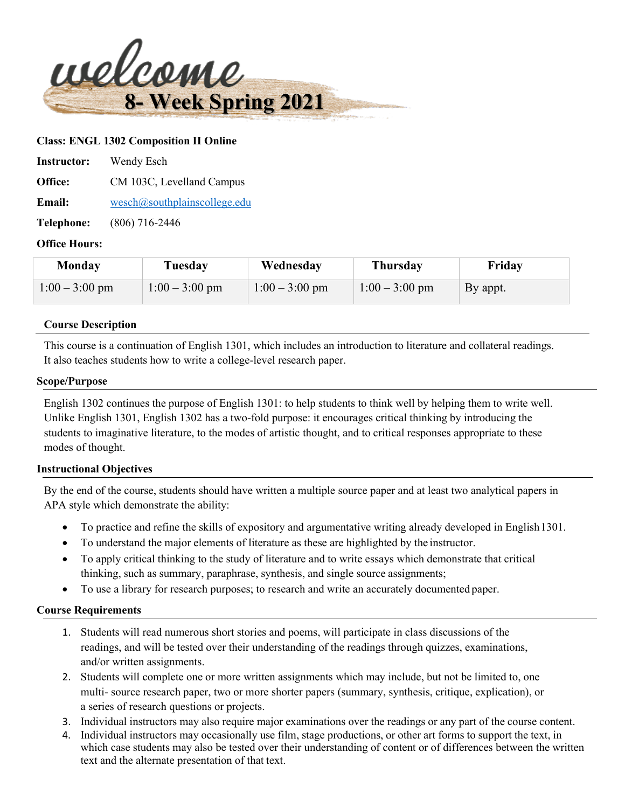

#### **Class: ENGL 1302 Composition II Online**

| <b>Instructor:</b> | Wendy Esch                    |
|--------------------|-------------------------------|
| Office:            | CM 103C, Levelland Campus     |
| <b>Email:</b>      | wesch@southplain scollege.edu |
| Telephone:         | $(806)$ 716-2446              |

#### **Office Hours:**

| Monday           | Tuesday          | Wednesday        | Thursday         | Friday   |
|------------------|------------------|------------------|------------------|----------|
| $1:00 - 3:00$ pm | $1:00 - 3:00$ pm | $1:00 - 3:00$ pm | $1:00 - 3:00$ pm | By appt. |

#### **Course Description**

This course is a continuation of English 1301, which includes an introduction to literature and collateral readings. It also teaches students how to write a college-level research paper.

#### **Scope/Purpose**

English 1302 continues the purpose of English 1301: to help students to think well by helping them to write well. Unlike English 1301, English 1302 has a two-fold purpose: it encourages critical thinking by introducing the students to imaginative literature, to the modes of artistic thought, and to critical responses appropriate to these modes of thought.

#### **Instructional Objectives**

By the end of the course, students should have written a multiple source paper and at least two analytical papers in APA style which demonstrate the ability:

- To practice and refine the skills of expository and argumentative writing already developed in English 1301.
- To understand the major elements of literature as these are highlighted by the instructor.
- To apply critical thinking to the study of literature and to write essays which demonstrate that critical thinking, such as summary, paraphrase, synthesis, and single source assignments;
- To use a library for research purposes; to research and write an accurately documented paper.

#### **Course Requirements**

- 1. Students will read numerous short stories and poems, will participate in class discussions of the readings, and will be tested over their understanding of the readings through quizzes, examinations, and/or written assignments.
- 2. Students will complete one or more written assignments which may include, but not be limited to, one multi- source research paper, two or more shorter papers (summary, synthesis, critique, explication), or a series of research questions or projects.
- 3. Individual instructors may also require major examinations over the readings or any part of the course content.
- 4. Individual instructors may occasionally use film, stage productions, or other art forms to support the text, in which case students may also be tested over their understanding of content or of differences between the written text and the alternate presentation of that text.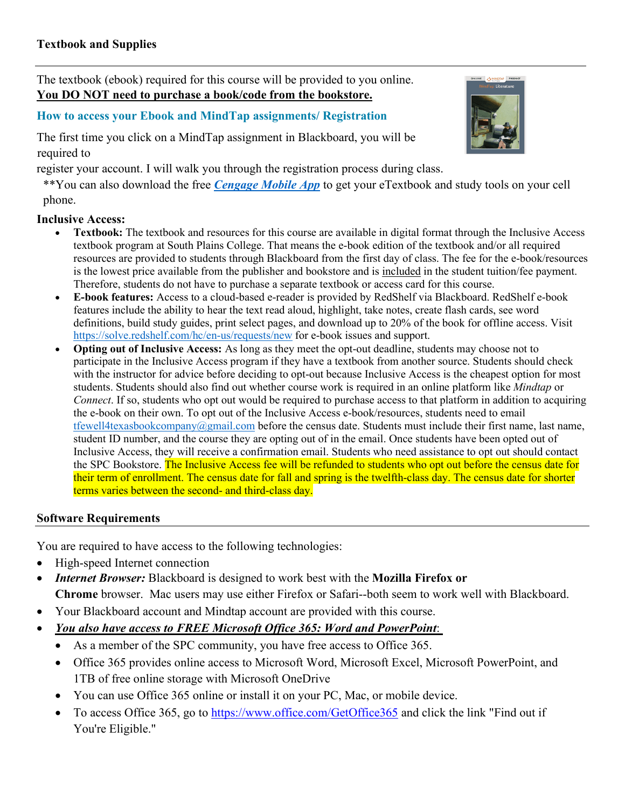The textbook (ebook) required for this course will be provided to you online. **You DO NOT need to purchase a book/code from the bookstore.**

# **How to access your Ebook and MindTap assignments/ Registration**

The first time you click on a MindTap assignment in Blackboard, you will be required to

register your account. I will walk you through the registration process during class.

\*\*You can also download the free *[Cengage Mobile App](https://www.cengage.com/mobile-app/)* to get your eTextbook and study tools on your cell phone.

# **Inclusive Access:**

- **Textbook:** The textbook and resources for this course are available in digital format through the Inclusive Access textbook program at South Plains College. That means the e-book edition of the textbook and/or all required resources are provided to students through Blackboard from the first day of class. The fee for the e-book/resources is the lowest price available from the publisher and bookstore and is included in the student tuition/fee payment. Therefore, students do not have to purchase a separate textbook or access card for this course.
- **E-book features:** Access to a cloud-based e-reader is provided by RedShelf via Blackboard. RedShelf e-book features include the ability to hear the text read aloud, highlight, take notes, create flash cards, see word definitions, build study guides, print select pages, and download up to 20% of the book for offline access. Visit <https://solve.redshelf.com/hc/en-us/requests/new> for e-book issues and support.
- **Opting out of Inclusive Access:** As long as they meet the opt-out deadline, students may choose not to participate in the Inclusive Access program if they have a textbook from another source. Students should check with the instructor for advice before deciding to opt-out because Inclusive Access is the cheapest option for most students. Students should also find out whether course work is required in an online platform like *Mindtap* or *Connect*. If so, students who opt out would be required to purchase access to that platform in addition to acquiring the e-book on their own. To opt out of the Inclusive Access e-book/resources, students need to email [tfewell4texasbookcompany@gmail.com](mailto:tfewell4texasbookcompany@gmail.com) before the census date. Students must include their first name, last name, student ID number, and the course they are opting out of in the email. Once students have been opted out of Inclusive Access, they will receive a confirmation email. Students who need assistance to opt out should contact the SPC Bookstore. The Inclusive Access fee will be refunded to students who opt out before the census date for their term of enrollment. The census date for fall and spring is the twelfth-class day. The census date for shorter terms varies between the second- and third-class day.

# **Software Requirements**

You are required to have access to the following technologies:

- High-speed Internet connection
- *Internet Browser:* Blackboard is designed to work best with the **Mozilla Firefox or Chrome** browser. Mac users may use either Firefox or Safari--both seem to work well with Blackboard.
- Your Blackboard account and Mindtap account are provided with this course.
- *You also have access to FREE Microsoft Office 365: Word and PowerPoint*:
	- As a member of the SPC community, you have free access to Office 365.
	- Office 365 provides online access to Microsoft Word, Microsoft Excel, Microsoft PowerPoint, and 1TB of free online storage with Microsoft OneDrive
	- You can use Office 365 online or install it on your PC, Mac, or mobile device.
	- To access Office 365, go to <https://www.office.com/GetOffice365> and click the link "Find out if You're Eligible."

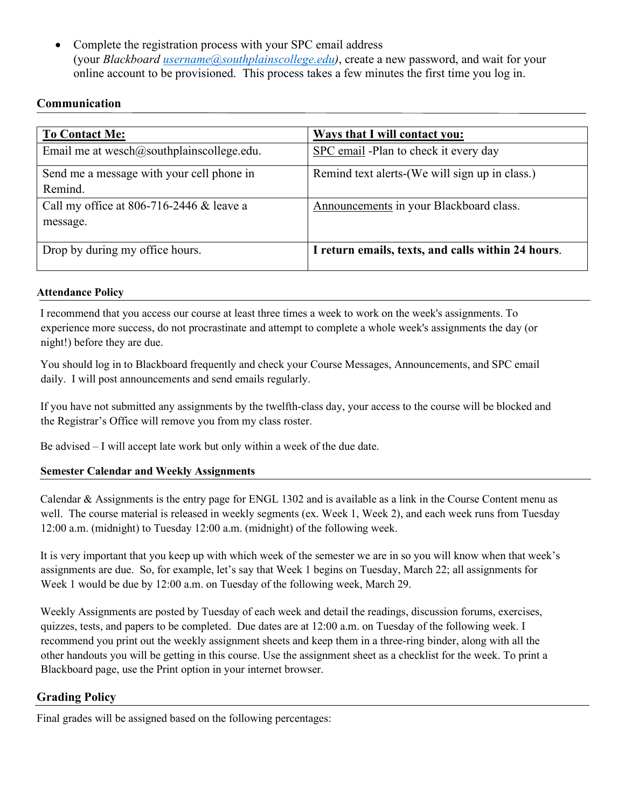• Complete the registration process with your SPC email address (your *Blackboard [username@southplainscollege.edu\)](mailto:username@southplainscollege.edu)*, create a new password, and wait for your online account to be provisioned. This process takes a few minutes the first time you log in.

# **Communication**

| <b>To Contact Me:</b>                         | <b>Ways that I will contact you:</b>               |
|-----------------------------------------------|----------------------------------------------------|
| Email me at wesch $@$ southplainscollege.edu. | SPC email -Plan to check it every day              |
| Send me a message with your cell phone in     | Remind text alerts-(We will sign up in class.)     |
| Remind.                                       |                                                    |
| Call my office at 806-716-2446 & leave a      | Announcements in your Blackboard class.            |
| message.                                      |                                                    |
|                                               |                                                    |
| Drop by during my office hours.               | I return emails, texts, and calls within 24 hours. |
|                                               |                                                    |

## **Attendance Policy**

I recommend that you access our course at least three times a week to work on the week's assignments. To experience more success, do not procrastinate and attempt to complete a whole week's assignments the day (or night!) before they are due.

You should log in to Blackboard frequently and check your Course Messages, Announcements, and SPC email daily. I will post announcements and send emails regularly.

If you have not submitted any assignments by the twelfth-class day, your access to the course will be blocked and the Registrar's Office will remove you from my class roster.

Be advised – I will accept late work but only within a week of the due date.

# **Semester Calendar and Weekly Assignments**

Calendar & Assignments is the entry page for ENGL 1302 and is available as a link in the Course Content menu as well. The course material is released in weekly segments (ex. Week 1, Week 2), and each week runs from Tuesday 12:00 a.m. (midnight) to Tuesday 12:00 a.m. (midnight) of the following week.

It is very important that you keep up with which week of the semester we are in so you will know when that week's assignments are due. So, for example, let's say that Week 1 begins on Tuesday, March 22; all assignments for Week 1 would be due by 12:00 a.m. on Tuesday of the following week, March 29.

Weekly Assignments are posted by Tuesday of each week and detail the readings, discussion forums, exercises, quizzes, tests, and papers to be completed. Due dates are at 12:00 a.m. on Tuesday of the following week. I recommend you print out the weekly assignment sheets and keep them in a three-ring binder, along with all the other handouts you will be getting in this course. Use the assignment sheet as a checklist for the week. To print a Blackboard page, use the Print option in your internet browser.

# **Grading Policy**

Final grades will be assigned based on the following percentages: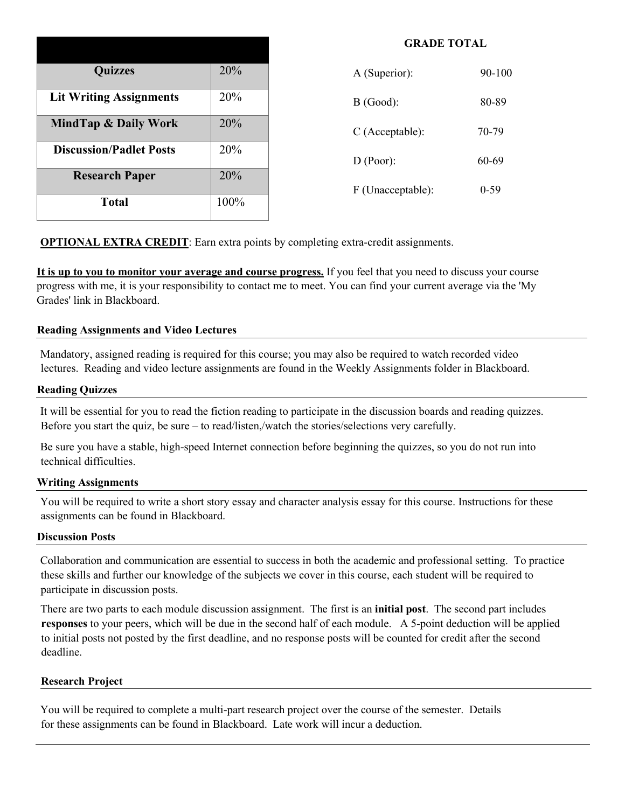| <b>Quizzes</b>                 | 20%  |
|--------------------------------|------|
| <b>Lit Writing Assignments</b> | 20%  |
| MindTap & Daily Work           | 20%  |
| <b>Discussion/Padlet Posts</b> | 20%  |
| <b>Research Paper</b>          | 20%  |
| Total                          | 100% |

| A (Superior):     | 90-100 |
|-------------------|--------|
| $B$ (Good):       | 80-89  |
| $C$ (Acceptable): | 70-79  |
| D (Poor):         | 60-69  |
| F (Unacceptable): | ()-59  |

**GRADE TOTAL**

**OPTIONAL EXTRA CREDIT:** Earn extra points by completing extra-credit assignments.

**It is up to you to monitor your average and course progress.** If you feel that you need to discuss your course progress with me, it is your responsibility to contact me to meet. You can find your current average via the 'My Grades' link in Blackboard.

#### **Reading Assignments and Video Lectures**

Mandatory, assigned reading is required for this course; you may also be required to watch recorded video lectures. Reading and video lecture assignments are found in the Weekly Assignments folder in Blackboard.

#### **Reading Quizzes**

It will be essential for you to read the fiction reading to participate in the discussion boards and reading quizzes. Before you start the quiz, be sure – to read/listen,/watch the stories/selections very carefully.

Be sure you have a stable, high-speed Internet connection before beginning the quizzes, so you do not run into technical difficulties.

#### **Writing Assignments**

You will be required to write a short story essay and character analysis essay for this course. Instructions for these assignments can be found in Blackboard.

#### **Discussion Posts**

Collaboration and communication are essential to success in both the academic and professional setting. To practice these skills and further our knowledge of the subjects we cover in this course, each student will be required to participate in discussion posts.

There are two parts to each module discussion assignment. The first is an **initial post**. The second part includes **responses** to your peers, which will be due in the second half of each module. A 5-point deduction will be applied to initial posts not posted by the first deadline, and no response posts will be counted for credit after the second deadline.

#### **Research Project**

You will be required to complete a multi-part research project over the course of the semester. Details for these assignments can be found in Blackboard. Late work will incur a deduction.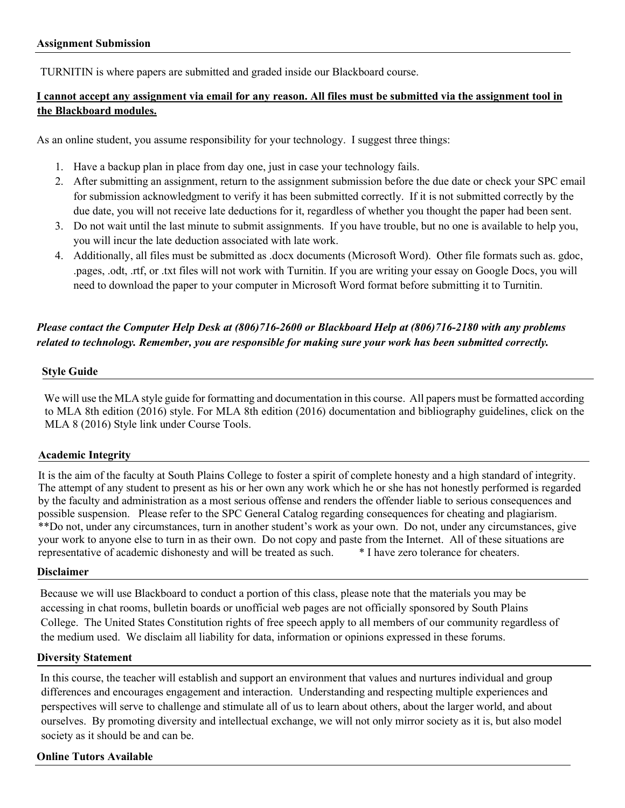TURNITIN is where papers are submitted and graded inside our Blackboard course.

## **I cannot accept any assignment via email for any reason. All files must be submitted via the assignment tool in the Blackboard modules.**

As an online student, you assume responsibility for your technology. I suggest three things:

- 1. Have a backup plan in place from day one, just in case your technology fails.
- 2. After submitting an assignment, return to the assignment submission before the due date or check your SPC email for submission acknowledgment to verify it has been submitted correctly. If it is not submitted correctly by the due date, you will not receive late deductions for it, regardless of whether you thought the paper had been sent.
- 3. Do not wait until the last minute to submit assignments. If you have trouble, but no one is available to help you, you will incur the late deduction associated with late work.
- 4. Additionally, all files must be submitted as .docx documents (Microsoft Word). Other file formats such as. gdoc, .pages, .odt, .rtf, or .txt files will not work with Turnitin. If you are writing your essay on Google Docs, you will need to download the paper to your computer in Microsoft Word format before submitting it to Turnitin.

# *Please contact the Computer Help Desk at (806)716-2600 or Blackboard Help at (806)716-2180 with any problems related to technology. Remember, you are responsible for making sure your work has been submitted correctly.*

#### **Style Guide**

We will use the MLA style guide for formatting and documentation in this course. All papers must be formatted according to MLA 8th edition (2016) style. For MLA 8th edition (2016) documentation and bibliography guidelines, click on the MLA 8 (2016) Style link under Course Tools.

### **Academic Integrity**

It is the aim of the faculty at South Plains College to foster a spirit of complete honesty and a high standard of integrity. The attempt of any student to present as his or her own any work which he or she has not honestly performed is regarded by the faculty and administration as a most serious offense and renders the offender liable to serious consequences and possible suspension. Please refer to the SPC General Catalog regarding consequences for cheating and plagiarism. \*\*Do not, under any circumstances, turn in another student's work as your own. Do not, under any circumstances, give your work to anyone else to turn in as their own. Do not copy and paste from the Internet. All of these situations are representative of academic dishonesty and will be treated as such. \* I have zero tolerance for cheaters.

#### **Disclaimer**

Because we will use Blackboard to conduct a portion of this class, please note that the materials you may be accessing in chat rooms, bulletin boards or unofficial web pages are not officially sponsored by South Plains College. The United States Constitution rights of free speech apply to all members of our community regardless of the medium used. We disclaim all liability for data, information or opinions expressed in these forums.

#### **Diversity Statement**

In this course, the teacher will establish and support an environment that values and nurtures individual and group differences and encourages engagement and interaction. Understanding and respecting multiple experiences and perspectives will serve to challenge and stimulate all of us to learn about others, about the larger world, and about ourselves. By promoting diversity and intellectual exchange, we will not only mirror society as it is, but also model society as it should be and can be.

#### **Online Tutors Available**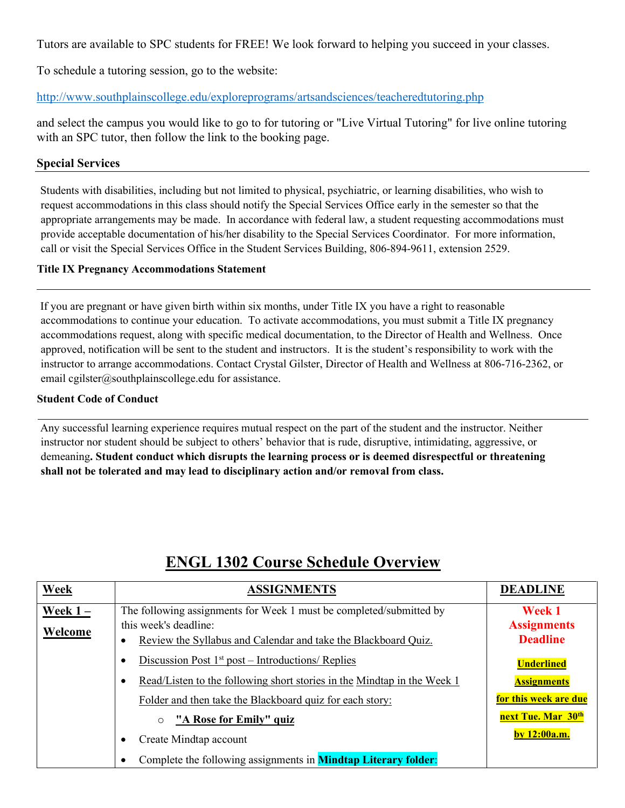Tutors are available to SPC students for FREE! We look forward to helping you succeed in your classes.

To schedule a tutoring session, go to the website:

<http://www.southplainscollege.edu/exploreprograms/artsandsciences/teacheredtutoring.php>

and select the campus you would like to go to for tutoring or "Live Virtual Tutoring" for live online tutoring with an SPC tutor, then follow the link to the booking page.

## **Special Services**

Students with disabilities, including but not limited to physical, psychiatric, or learning disabilities, who wish to request accommodations in this class should notify the Special Services Office early in the semester so that the appropriate arrangements may be made. In accordance with federal law, a student requesting accommodations must provide acceptable documentation of his/her disability to the Special Services Coordinator. For more information, call or visit the Special Services Office in the Student Services Building, 806-894-9611, extension 2529.

## **Title IX Pregnancy Accommodations Statement**

If you are pregnant or have given birth within six months, under Title IX you have a right to reasonable accommodations to continue your education. To activate accommodations, you must submit a Title IX pregnancy accommodations request, along with specific medical documentation, to the Director of Health and Wellness. Once approved, notification will be sent to the student and instructors. It is the student's responsibility to work with the instructor to arrange accommodations. Contact Crystal Gilster, Director of Health and Wellness at 806-716-2362, or email cgilster@southplainscollege.edu for assistance.

#### **Student Code of Conduct**

Any successful learning experience requires mutual respect on the part of the student and the instructor. Neither instructor nor student should be subject to others' behavior that is rude, disruptive, intimidating, aggressive, or demeaning**. Student conduct which disrupts the learning process or is deemed disrespectful or threatening shall not be tolerated and may lead to disciplinary action and/or removal from class.** 

| Week       | <b>ASSIGNMENTS</b>                                                                           | <b>DEADLINE</b>                       |
|------------|----------------------------------------------------------------------------------------------|---------------------------------------|
| Week $1 -$ | The following assignments for Week 1 must be completed/submitted by                          | <b>Week 1</b>                         |
| Welcome    | this week's deadline:<br>Review the Syllabus and Calendar and take the Blackboard Quiz.<br>٠ | <b>Assignments</b><br><b>Deadline</b> |
|            | Discussion Post $1st$ post – Introductions/ Replies<br>٠                                     | <b>Underlined</b>                     |
|            | Read/Listen to the following short stories in the Mindtap in the Week 1<br>٠                 | <b>Assignments</b>                    |
|            | Folder and then take the Blackboard quiz for each story:                                     | for this week are due                 |
|            | "A Rose for Emily" quiz<br>$\circ$                                                           | next Tue. Mar 30 <sup>th</sup>        |
|            | Create Mindtap account<br>$\bullet$                                                          | by 12:00a.m.                          |
|            | Complete the following assignments in <b>Mindtap Literary folder:</b><br>٠                   |                                       |

# **ENGL 1302 Course Schedule Overview**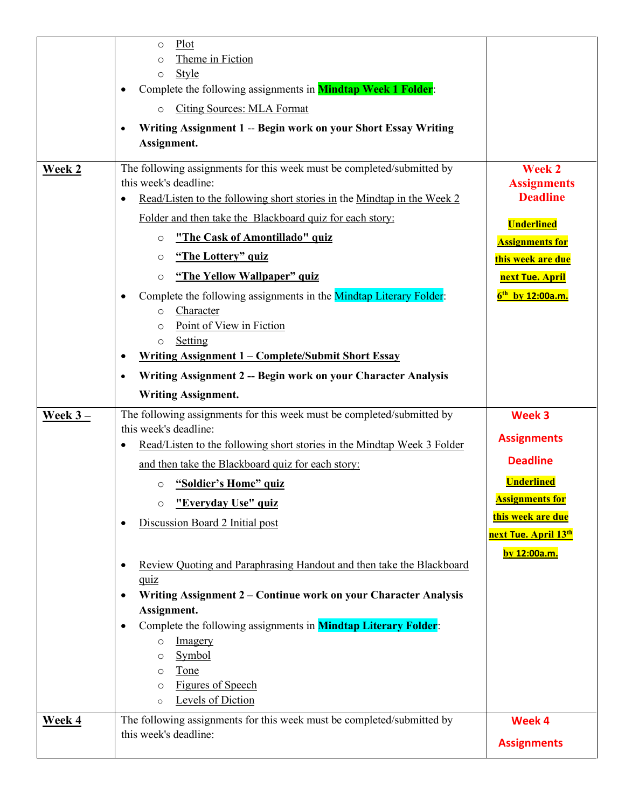|           | Plot<br>$\circ$                                                                                              |                                                       |
|-----------|--------------------------------------------------------------------------------------------------------------|-------------------------------------------------------|
|           | Theme in Fiction<br>$\circ$                                                                                  |                                                       |
|           | <b>Style</b><br>$\circ$<br>Complete the following assignments in <b>Mindtap Week 1 Folder</b> :<br>$\bullet$ |                                                       |
|           | <b>Citing Sources: MLA Format</b><br>$\circ$                                                                 |                                                       |
|           |                                                                                                              |                                                       |
|           | Writing Assignment 1 -- Begin work on your Short Essay Writing<br>$\bullet$<br>Assignment.                   |                                                       |
|           |                                                                                                              |                                                       |
| Week 2    | The following assignments for this week must be completed/submitted by<br>this week's deadline:              | <b>Week 2</b><br><b>Assignments</b>                   |
|           | Read/Listen to the following short stories in the Mindtap in the Week 2<br>٠                                 | <b>Deadline</b>                                       |
|           | Folder and then take the Blackboard quiz for each story:                                                     | <b>Underlined</b>                                     |
|           | "The Cask of Amontillado" quiz<br>$\circ$                                                                    | <b>Assignments for</b>                                |
|           | "The Lottery" quiz<br>$\circ$                                                                                | this week are due                                     |
|           | "The Yellow Wallpaper" quiz<br>$\circ$                                                                       | next Tue. April                                       |
|           | Complete the following assignments in the Mindtap Literary Folder:<br>٠                                      | $6^{th}$ by 12:00a.m.                                 |
|           | Character<br>$\circ$                                                                                         |                                                       |
|           | Point of View in Fiction<br>$\Omega$<br>Setting<br>$\circ$                                                   |                                                       |
|           | <u>Writing Assignment 1 – Complete/Submit Short Essay</u><br>$\bullet$                                       |                                                       |
|           | Writing Assignment 2 -- Begin work on your Character Analysis<br>$\bullet$                                   |                                                       |
|           | <b>Writing Assignment.</b>                                                                                   |                                                       |
| Week $3-$ | The following assignments for this week must be completed/submitted by                                       | Week 3                                                |
|           | this week's deadline:                                                                                        | <b>Assignments</b>                                    |
|           | Read/Listen to the following short stories in the Mindtap Week 3 Folder<br>$\bullet$                         | <b>Deadline</b>                                       |
|           | and then take the Blackboard quiz for each story:                                                            |                                                       |
|           | "Soldier's Home" quiz<br>$\circ$                                                                             | <b>Underlined</b>                                     |
|           | "Everyday Use" quiz<br>$\circ$                                                                               | <b>Assignments for</b>                                |
|           | Discussion Board 2 Initial post<br>$\bullet$                                                                 | this week are due<br>next Tue. April 13 <sup>th</sup> |
|           |                                                                                                              | by 12:00a.m.                                          |
|           | Review Quoting and Paraphrasing Handout and then take the Blackboard<br>$\bullet$                            |                                                       |
|           | quiz                                                                                                         |                                                       |
|           | Writing Assignment 2 – Continue work on your Character Analysis<br>$\bullet$<br>Assignment.                  |                                                       |
|           | Complete the following assignments in <b>Mindtap Literary Folder:</b><br>$\bullet$                           |                                                       |
|           | Imagery<br>$\circ$                                                                                           |                                                       |
|           | Symbol<br>O                                                                                                  |                                                       |
|           | Tone<br>$\circ$                                                                                              |                                                       |
|           | <b>Figures of Speech</b><br>O<br>Levels of Diction<br>$\circ$                                                |                                                       |
| Week 4    | The following assignments for this week must be completed/submitted by                                       | Week 4                                                |
|           | this week's deadline:                                                                                        |                                                       |
|           |                                                                                                              | <b>Assignments</b>                                    |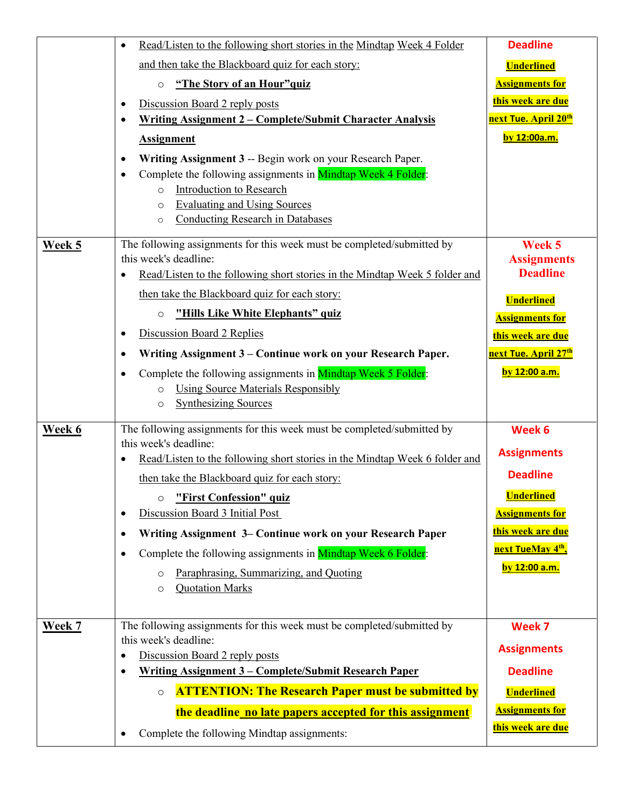|               | Read/Listen to the following short stories in the Mindtap Week 4 Folder<br>$\bullet$                                                                                                                                                                                                                                                                                                                                                                                                                                                                                                 | <b>Deadline</b>                                                                                                                                                       |
|---------------|--------------------------------------------------------------------------------------------------------------------------------------------------------------------------------------------------------------------------------------------------------------------------------------------------------------------------------------------------------------------------------------------------------------------------------------------------------------------------------------------------------------------------------------------------------------------------------------|-----------------------------------------------------------------------------------------------------------------------------------------------------------------------|
|               | and then take the Blackboard quiz for each story:                                                                                                                                                                                                                                                                                                                                                                                                                                                                                                                                    | <b>Underlined</b>                                                                                                                                                     |
|               | "The Story of an Hour"quiz<br>$\circ$                                                                                                                                                                                                                                                                                                                                                                                                                                                                                                                                                | <b>Assignments for</b>                                                                                                                                                |
|               | Discussion Board 2 reply posts<br>$\bullet$                                                                                                                                                                                                                                                                                                                                                                                                                                                                                                                                          | this week are due                                                                                                                                                     |
|               | <u> Writing Assignment 2 – Complete/Submit Character Analysis</u><br>$\bullet$                                                                                                                                                                                                                                                                                                                                                                                                                                                                                                       | <mark>next Tue. April 20<sup>th</sup></mark>                                                                                                                          |
|               | <b>Assignment</b>                                                                                                                                                                                                                                                                                                                                                                                                                                                                                                                                                                    | by 12:00a.m.                                                                                                                                                          |
|               | Writing Assignment 3 -- Begin work on your Research Paper.<br>$\bullet$<br>Complete the following assignments in Mindtap Week 4 Folder:<br>$\bullet$<br>Introduction to Research<br>$\circ$<br><b>Evaluating and Using Sources</b><br>$\circ$<br><b>Conducting Research in Databases</b><br>$\circ$                                                                                                                                                                                                                                                                                  |                                                                                                                                                                       |
| Week 5        | The following assignments for this week must be completed/submitted by<br>this week's deadline:<br>Read/Listen to the following short stories in the Mindtap Week 5 folder and<br>$\bullet$<br>then take the Blackboard quiz for each story:                                                                                                                                                                                                                                                                                                                                         | Week 5<br><b>Assignments</b><br><b>Deadline</b><br><b>Underlined</b>                                                                                                  |
|               | "Hills Like White Elephants" quiz<br>$\circ$                                                                                                                                                                                                                                                                                                                                                                                                                                                                                                                                         | <b>Assignments for</b>                                                                                                                                                |
|               | Discussion Board 2 Replies<br>$\bullet$                                                                                                                                                                                                                                                                                                                                                                                                                                                                                                                                              | this week are due                                                                                                                                                     |
|               | Writing Assignment 3 – Continue work on your Research Paper.<br>$\bullet$                                                                                                                                                                                                                                                                                                                                                                                                                                                                                                            | next Tue. April 27 <sup>th</sup>                                                                                                                                      |
|               | Complete the following assignments in Mindtap Week 5 Folder:<br>$\bullet$<br><b>Using Source Materials Responsibly</b><br>$\circ$<br><b>Synthesizing Sources</b><br>$\circ$                                                                                                                                                                                                                                                                                                                                                                                                          | by 12:00 a.m.                                                                                                                                                         |
| Week 6        | The following assignments for this week must be completed/submitted by<br>this week's deadline:<br>Read/Listen to the following short stories in the Mindtap Week 6 folder and<br>$\bullet$<br>then take the Blackboard quiz for each story:<br>"First Confession" quiz<br>$\circ$<br>Discussion Board 3 Initial Post<br>$\bullet$<br>Writing Assignment 3– Continue work on your Research Paper<br>$\bullet$<br>Complete the following assignments in Mindtap Week 6 Folder:<br>$\bullet$<br>Paraphrasing, Summarizing, and Quoting<br>$\circ$<br><b>Quotation Marks</b><br>$\circ$ | Week 6<br><b>Assignments</b><br><b>Deadline</b><br><u>Underlined</u><br><b>Assignments for</b><br>this week are due<br>next TueMay 4 <sup>th</sup> ,<br>by 12:00 a.m. |
| <b>Week 7</b> | The following assignments for this week must be completed/submitted by<br>this week's deadline:<br>Discussion Board 2 reply posts<br>$\bullet$<br><u> Writing Assignment 3 – Complete/Submit Research Paper</u><br>$\bullet$<br><b>ATTENTION: The Research Paper must be submitted by</b><br>$\circ$                                                                                                                                                                                                                                                                                 | Week 7<br><b>Assignments</b><br><b>Deadline</b><br><b>Underlined</b>                                                                                                  |
|               | the deadline no late papers accepted for this assignment<br>Complete the following Mindtap assignments:<br>$\bullet$                                                                                                                                                                                                                                                                                                                                                                                                                                                                 | <b>Assignments for</b><br>this week are due                                                                                                                           |